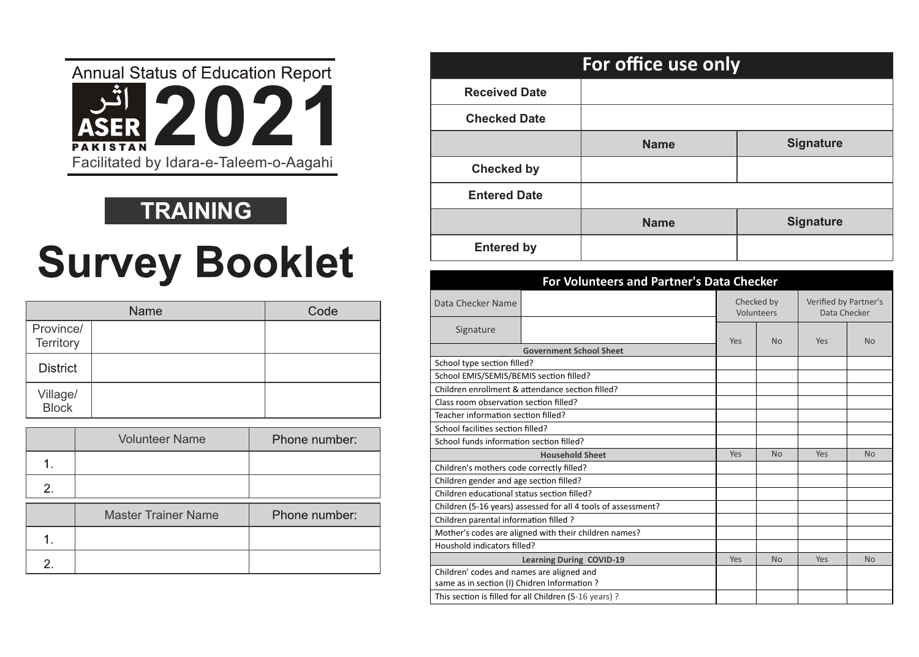

#### **TRAINING**

# **Survey Booklet**

|                               | <b>Name</b> | Code |
|-------------------------------|-------------|------|
| Province/<br><b>Territory</b> |             |      |
| <b>District</b>               |             |      |
| Village/<br>Block             |             |      |

|    | <b>Volunteer Name</b>      | Phone number: |
|----|----------------------------|---------------|
|    |                            |               |
| 2. |                            |               |
|    | <b>Master Trainer Name</b> | Phone number: |
|    |                            |               |
|    |                            |               |

|                      | For office use only |                  |
|----------------------|---------------------|------------------|
| <b>Received Date</b> |                     |                  |
| <b>Checked Date</b>  |                     |                  |
|                      | <b>Name</b>         | <b>Signature</b> |
| <b>Checked by</b>    |                     |                  |
| <b>Entered Date</b>  |                     |                  |
|                      | <b>Name</b>         | <b>Signature</b> |
| <b>Entered by</b>    |                     |                  |

|                                              | <b>For Volunteers and Partner's Data Checker</b>              |            |                          |                                       |           |
|----------------------------------------------|---------------------------------------------------------------|------------|--------------------------|---------------------------------------|-----------|
| Data Checker Name                            |                                                               |            | Checked by<br>Volunteers | Verified by Partner's<br>Data Checker |           |
| Signature                                    |                                                               | <b>Yes</b> | <b>No</b>                | Yes                                   | No.       |
|                                              | <b>Government School Sheet</b>                                |            |                          |                                       |           |
| School type section filled?                  |                                                               |            |                          |                                       |           |
| School EMIS/SEMIS/BEMIS section filled?      |                                                               |            |                          |                                       |           |
|                                              | Children enrollment & attendance section filled?              |            |                          |                                       |           |
| Class room observation section filled?       |                                                               |            |                          |                                       |           |
| Teacher information section filled?          |                                                               |            |                          |                                       |           |
| School facilities section filled?            |                                                               |            |                          |                                       |           |
| School funds information section filled?     |                                                               |            |                          |                                       |           |
|                                              | <b>Household Sheet</b>                                        | Yes        | <b>No</b>                | Yes                                   | <b>No</b> |
| Children's mothers code correctly filled?    |                                                               |            |                          |                                       |           |
| Children gender and age section filled?      |                                                               |            |                          |                                       |           |
| Children educational status section filled?  |                                                               |            |                          |                                       |           |
|                                              | Children (5-16 years) assessed for all 4 tools of assessment? |            |                          |                                       |           |
| Children parental information filled ?       |                                                               |            |                          |                                       |           |
|                                              | Mother's codes are aligned with their children names?         |            |                          |                                       |           |
| Houshold indicators filled?                  |                                                               |            |                          |                                       |           |
|                                              | <b>Learning During COVID-19</b>                               | Yes        | <b>No</b>                | Yes                                   | <b>No</b> |
| Children' codes and names are aligned and    |                                                               |            |                          |                                       |           |
| same as in section (I) Chidren Information ? |                                                               |            |                          |                                       |           |
|                                              | This section is filled for all Children (5-16 years) ?        |            |                          |                                       |           |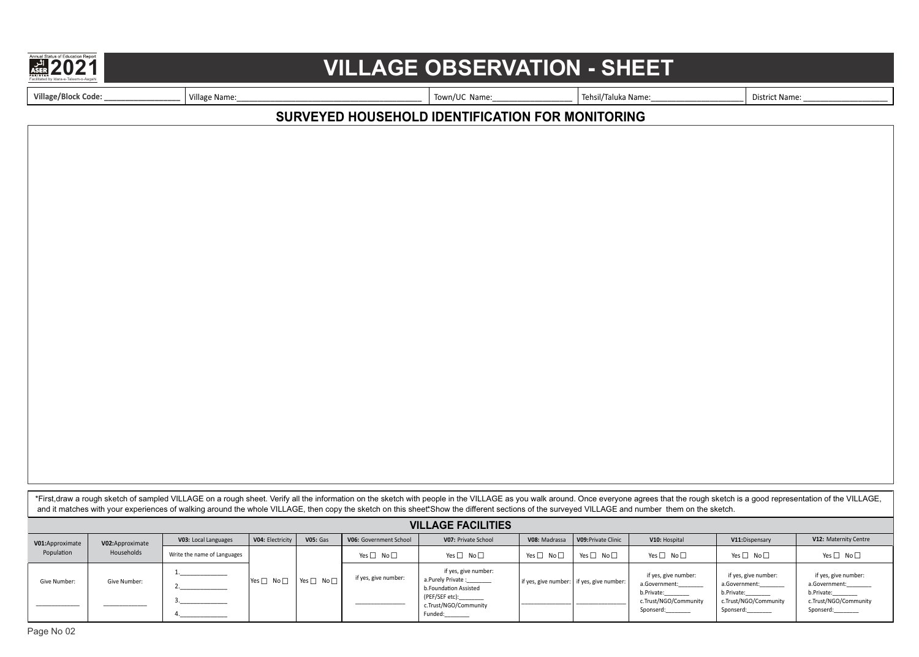

### Facilitated b**2**y Idara-**0**e-Talee**2**m-o-Aa**1**gahi **VILLAGE OBSERVATION - SHEET**

**Village/Block Code: \_\_\_\_\_\_\_\_\_\_\_\_\_\_\_\_\_\_** Village Name:\_\_\_\_\_\_\_\_\_\_\_\_\_\_\_\_\_\_\_\_\_\_\_\_\_\_\_\_\_\_\_\_\_\_\_\_\_\_\_\_\_\_\_\_ Town/UC Name:\_\_\_\_\_\_\_\_\_\_\_\_\_\_\_\_\_\_\_ Tehsil/Taluka Name:\_\_\_\_\_\_\_\_\_\_\_\_\_\_\_\_\_\_\_\_\_\_ District Name: \_\_\_\_\_\_\_\_\_\_\_\_\_\_\_\_\_\_\_\_

#### **SURVEYED HOUSEHOLD IDENTIFICATION FOR MONITORING**

\*First,draw a rough sketch of sampled VILLAGE on a rough sheet. Verify all the information on the sketch with people in the VILLAGE as you walk around. Once everyone agrees that the rough sketch is a good representation of and it matches with your experiences of walking around the whole VILLAGE, then copy the sketch on this sheet\*.Show the different sections of the surveyed VILLAGE and number them on the sketch.

|                 |                  |                             |                      |                      |                        | <b>VILLAGE FACILITIES</b>                                                   |                      |                                           |                                                     |                                                             |                                                     |
|-----------------|------------------|-----------------------------|----------------------|----------------------|------------------------|-----------------------------------------------------------------------------|----------------------|-------------------------------------------|-----------------------------------------------------|-------------------------------------------------------------|-----------------------------------------------------|
| V01:Approximate | V02: Approximate | V03: Local Languages        | V04: Electricity     | <b>V05: Gas</b>      | V06: Government School | V07: Private School                                                         | V08: Madrassa        | V09: Private Clinic                       | V10: Hospital                                       | V11: Dispensary                                             | V12: Maternity Centre                               |
| Population      | Households       | Write the name of Languages |                      |                      | Yes $\Box$ No $\Box$   | Yes $\Box$ No $\Box$                                                        | Yes $\Box$ No $\Box$ | Yes $\square$<br>No $\Box$                | Yes $\Box$ No $\Box$                                | Yes $\Box$ No $\Box$                                        | Yes $\Box$ No $\Box$                                |
| Give Number:    | Give Number:     |                             | Yes $\Box$ No $\Box$ | Yes $\Box$ No $\Box$ | if yes, give number:   | if yes, give number:<br>a.Purely Private :________<br>b.Foundation Assisted |                      | if yes, give number: if yes, give number: | if yes, give number:<br>a.Government:<br>b.Private: | if yes, give number:<br>a.Government:<br>b.Private:________ | if yes, give number:<br>a.Government:<br>b.Private: |
|                 |                  |                             |                      |                      |                        | (PEF/SEF etc):_________<br>c.Trust/NGO/Community<br>Funded:                 |                      |                                           | c.Trust/NGO/Community<br>Sponserd:                  | c.Trust/NGO/Community<br>Sponserd:________                  | c.Trust/NGO/Community<br>Sponserd:                  |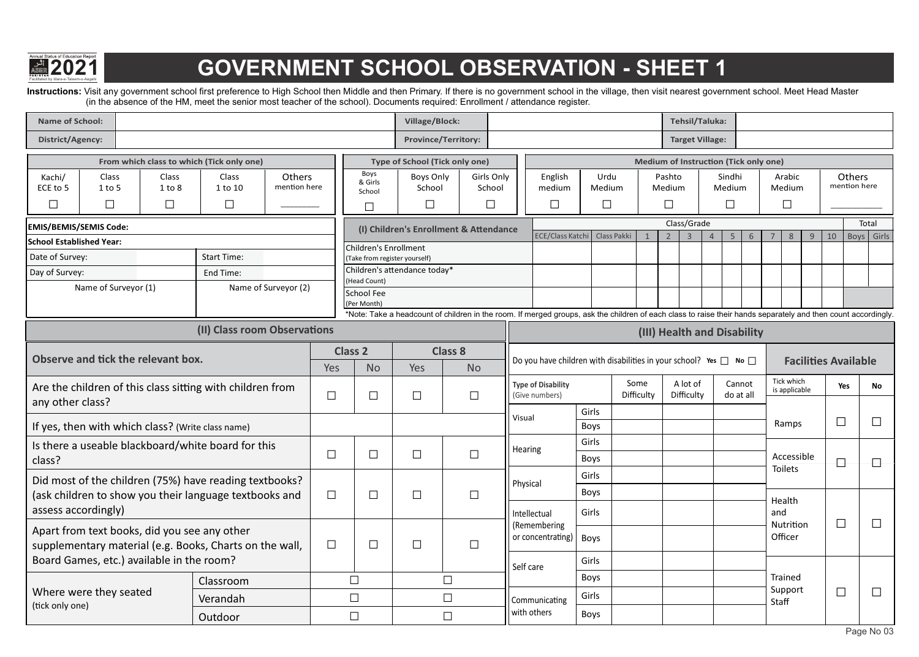

# **Facilitate base of Acid Idara-19er-000-000-Aan and Acid Idara-Aan GOVERNMENT SCHOOL OBSERVATION - SHEET 1**

Instructions: Visit any government school first preference to High School then Middle and then Primary. If there is no government school in the village, then visit nearest government school. Meet Head Master (in the absence of the HM, meet the senior most teacher of the school). Documents required: Enrollment / attendance register.

| <b>Name of School:</b>                                           |                                                   |                                  |                                                           |                        |        |                                                        | Village/Block:                       |                                        |                                                                                                                                                               |                          |                    |                            | Tehsil/Taluka:         |                            |                                              |       |                             |                             |                        |            |
|------------------------------------------------------------------|---------------------------------------------------|----------------------------------|-----------------------------------------------------------|------------------------|--------|--------------------------------------------------------|--------------------------------------|----------------------------------------|---------------------------------------------------------------------------------------------------------------------------------------------------------------|--------------------------|--------------------|----------------------------|------------------------|----------------------------|----------------------------------------------|-------|-----------------------------|-----------------------------|------------------------|------------|
| <b>District/Agency:</b>                                          |                                                   |                                  |                                                           |                        |        |                                                        |                                      | <b>Province/Territory:</b>             |                                                                                                                                                               |                          |                    |                            | <b>Target Village:</b> |                            |                                              |       |                             |                             |                        |            |
|                                                                  |                                                   |                                  | From which class to which (Tick only one)                 |                        |        |                                                        |                                      | Type of School (Tick only one)         |                                                                                                                                                               |                          |                    |                            |                        |                            | <b>Medium of Instruction (Tick only one)</b> |       |                             |                             |                        |            |
| Kachi/<br>ECE to 5<br>$\Box$                                     | <b>Class</b><br>$1$ to $5$<br>$\Box$              | <b>Class</b><br>1 to 8<br>$\Box$ | Class<br>1 to 10<br>$\Box$                                | Others<br>mention here |        | Boys<br>& Girls<br>School                              | <b>Boys Only</b><br>School<br>$\Box$ | Girls Only<br>School<br>$\Box$         | English<br>medium<br>$\Box$                                                                                                                                   | Urdu<br>Medium<br>$\Box$ |                    | Pashto<br>Medium<br>$\Box$ |                        | Sindhi<br>Medium<br>$\Box$ |                                              |       | Arabic<br>Medium<br>$\Box$  |                             | Others<br>mention here |            |
|                                                                  |                                                   |                                  |                                                           |                        |        | П                                                      |                                      |                                        |                                                                                                                                                               |                          |                    |                            | Class/Grade            |                            |                                              |       |                             |                             |                        | Total      |
| <b>EMIS/BEMIS/SEMIS Code:</b><br><b>School Established Year:</b> |                                                   |                                  |                                                           |                        |        |                                                        |                                      | (I) Children's Enrollment & Attendance | <b>ECE/Class Katch</b>                                                                                                                                        |                          | Class Pakki        | $\overline{2}$             | $\overline{3}$         | $\overline{4}$             | -5<br>6                                      |       | 8                           | 10<br>9                     |                        | Boys Girls |
| Date of Survey:                                                  |                                                   |                                  | <b>Start Time:</b>                                        |                        |        | Children's Enrollment<br>(Take from register yourself) |                                      |                                        |                                                                                                                                                               |                          |                    |                            |                        |                            |                                              |       |                             |                             |                        |            |
| Day of Survey:                                                   |                                                   |                                  | End Time:                                                 |                        |        | Children's attendance today*                           |                                      |                                        |                                                                                                                                                               |                          |                    |                            |                        |                            |                                              |       |                             |                             |                        |            |
|                                                                  | Name of Surveyor (1)                              |                                  |                                                           | Name of Surveyor (2)   |        | (Head Count)<br><b>School Fee</b>                      |                                      |                                        |                                                                                                                                                               |                          |                    |                            |                        |                            |                                              |       |                             |                             |                        |            |
|                                                                  |                                                   |                                  |                                                           |                        |        | (Per Month)                                            |                                      |                                        | *Note: Take a headcount of children in the room. If merged groups, ask the children of each class to raise their hands separately and then count accordingly. |                          |                    |                            |                        |                            |                                              |       |                             |                             |                        |            |
|                                                                  |                                                   |                                  | (II) Class room Observations                              |                        |        |                                                        |                                      |                                        |                                                                                                                                                               |                          |                    |                            |                        |                            |                                              |       |                             |                             |                        |            |
|                                                                  |                                                   |                                  |                                                           |                        |        |                                                        |                                      |                                        |                                                                                                                                                               |                          |                    |                            |                        |                            | (III) Health and Disability                  |       |                             |                             |                        |            |
|                                                                  | Observe and tick the relevant box.                |                                  |                                                           |                        | Yes    | <b>Class 2</b><br><b>No</b>                            | Yes                                  | <b>Class 8</b><br><b>No</b>            | Do you have children with disabilities in your school? Yes $\Box$ No $\Box$                                                                                   |                          |                    |                            |                        |                            |                                              |       |                             | <b>Facilities Available</b> |                        |            |
| any other class?                                                 |                                                   |                                  | Are the children of this class sitting with children from |                        | $\Box$ | $\Box$                                                 | $\Box$                               | $\Box$                                 | <b>Type of Disability</b><br>(Give numbers)                                                                                                                   |                          | Some<br>Difficulty |                            | A lot of<br>Difficulty |                            | Cannot<br>do at all                          |       | Tick which<br>is applicable |                             | Yes                    | No         |
|                                                                  |                                                   |                                  |                                                           |                        |        |                                                        |                                      |                                        | Visual                                                                                                                                                        | Girls<br>Boys            |                    |                            |                        |                            |                                              |       | Ramps                       |                             | $\Box$                 |            |
|                                                                  | If yes, then with which class? (Write class name) |                                  |                                                           |                        |        |                                                        |                                      |                                        |                                                                                                                                                               | Girls                    |                    |                            |                        |                            |                                              |       |                             |                             |                        |            |
| class?                                                           |                                                   |                                  | Is there a useable blackboard/white board for this        |                        | $\Box$ | $\Box$                                                 | $\Box$                               | $\Box$                                 | Hearing                                                                                                                                                       | Boys                     |                    |                            |                        |                            |                                              |       | Accessible                  |                             | $\Box$                 | Н          |
|                                                                  |                                                   |                                  | Did most of the children (75%) have reading textbooks?    |                        |        |                                                        |                                      |                                        |                                                                                                                                                               | Girls                    |                    |                            |                        |                            |                                              |       | <b>Toilets</b>              |                             |                        |            |
|                                                                  |                                                   |                                  | (ask children to show you their language textbooks and    |                        | $\Box$ | $\Box$                                                 | $\Box$                               | $\Box$                                 | Physical                                                                                                                                                      | Boys                     |                    |                            |                        |                            |                                              |       | Health                      |                             |                        |            |
| assess accordingly)                                              |                                                   |                                  |                                                           |                        |        |                                                        |                                      |                                        | Intellectual                                                                                                                                                  | Girls                    |                    |                            |                        |                            |                                              | and   |                             |                             |                        |            |
|                                                                  | Apart from text books, did you see any other      |                                  |                                                           |                        |        |                                                        |                                      |                                        | (Remembering<br>or concentrating)   Boys                                                                                                                      |                          |                    |                            |                        |                            |                                              |       | Nutrition<br>Officer        |                             | $\Box$                 | $\Box$     |
|                                                                  | Board Games, etc.) available in the room?         |                                  | supplementary material (e.g. Books, Charts on the wall,   |                        | $\Box$ | □                                                      | $\Box$                               | $\Box$                                 |                                                                                                                                                               | Girls                    |                    |                            |                        |                            |                                              |       |                             |                             |                        |            |
|                                                                  |                                                   |                                  |                                                           |                        |        |                                                        |                                      |                                        | Self care                                                                                                                                                     | Boys                     |                    |                            |                        |                            |                                              |       | Trained                     |                             |                        |            |
|                                                                  | Where were they seated                            |                                  | Classroom                                                 |                        |        | $\Box$<br>$\Box$                                       |                                      | $\Box$                                 |                                                                                                                                                               | Girls                    |                    |                            |                        |                            |                                              |       | Support                     |                             | $\Box$                 | $\Box$     |
| (tick only one)                                                  |                                                   |                                  | Verandah                                                  |                        |        |                                                        |                                      | $\Box$                                 | Communicating<br>with others                                                                                                                                  | Boys                     |                    |                            |                        |                            |                                              | Staff |                             |                             |                        |            |
|                                                                  |                                                   |                                  | Outdoor                                                   |                        |        | $\Box$                                                 |                                      | $\Box$                                 |                                                                                                                                                               |                          |                    |                            |                        |                            |                                              |       |                             |                             |                        |            |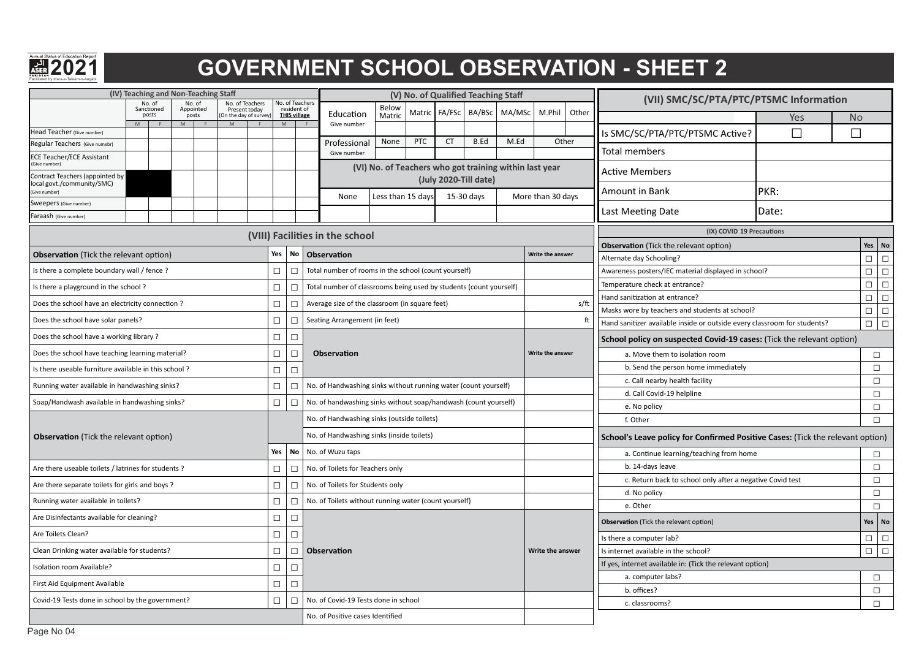

# **FACILITATE B2021**<br>ASEP 2021 **COVERNMENT SCHOOL OBSERVATION - SHEET 2**

| (IV) Teaching and Non-Teaching Staff                               |                               |                     |                                  |        |                                                              |                                                                    |                   |            | (V) No. of Qualified Teaching Staff                    |            |      |                   |                  | (VII) SMC/SC/PTA/PTC/PTSMC Information                                         |        |           |                                                    |
|--------------------------------------------------------------------|-------------------------------|---------------------|----------------------------------|--------|--------------------------------------------------------------|--------------------------------------------------------------------|-------------------|------------|--------------------------------------------------------|------------|------|-------------------|------------------|--------------------------------------------------------------------------------|--------|-----------|----------------------------------------------------|
|                                                                    | No. of<br>Sanctioned<br>posts | No. of<br>Appointed | No. of Teachers<br>Present today |        | <b>No. of Teachers</b><br>resident of<br><b>THIS village</b> | Education                                                          | Below<br>Matric   |            | Matric FA/FSc                                          | BA/BSc     |      | MA/MSc M.Phil     | Other            |                                                                                |        |           |                                                    |
|                                                                    | M                             | posts<br>M          | (On the day of survey<br>M       |        | M                                                            | Give number                                                        |                   |            |                                                        |            |      |                   |                  |                                                                                | Yes    | <b>No</b> |                                                    |
| Head Teacher (Give number)                                         |                               |                     |                                  |        |                                                              |                                                                    | None              | <b>PTC</b> | <b>CT</b>                                              | B.Ed       | M.Ed |                   | Other            | Is SMC/SC/PTA/PTC/PTSMC Active?                                                | $\Box$ | $\Box$    |                                                    |
| Regular Teachers (Give numebr)<br><b>ECE Teacher/ECE Assistant</b> |                               |                     |                                  |        |                                                              | Professional<br>Give number                                        |                   |            |                                                        |            |      |                   |                  | <b>Total members</b>                                                           |        |           |                                                    |
| Give number)                                                       |                               |                     |                                  |        |                                                              |                                                                    |                   |            | (VI) No. of Teachers who got training within last year |            |      |                   |                  | <b>Active Members</b>                                                          |        |           |                                                    |
| Contract Teachers (appointed by<br>local govt./community/SMC)      |                               |                     |                                  |        |                                                              |                                                                    |                   |            | (July 2020-Till date)                                  |            |      |                   |                  |                                                                                |        |           |                                                    |
| (Give number)                                                      |                               |                     |                                  |        |                                                              | None                                                               | Less than 15 days |            |                                                        | 15-30 days |      | More than 30 days |                  | Amount in Bank                                                                 | PKR:   |           |                                                    |
| Sweepers (Give number)                                             |                               |                     |                                  |        |                                                              |                                                                    |                   |            |                                                        |            |      |                   |                  | Last Meeting Date                                                              | Date:  |           |                                                    |
| Faraash (Give number)                                              |                               |                     |                                  |        |                                                              |                                                                    |                   |            |                                                        |            |      |                   |                  |                                                                                |        |           |                                                    |
|                                                                    |                               |                     |                                  |        |                                                              | (VIII) Facilities in the school                                    |                   |            |                                                        |            |      |                   |                  | (IX) COVID 19 Precautions                                                      |        | Yes       |                                                    |
| <b>Observation</b> (Tick the relevant option)                      |                               |                     |                                  | Yes    |                                                              | No Observation                                                     |                   |            |                                                        |            |      | Write the answer  |                  | Observation (Tick the relevant option)<br>Alternate day Schooling?             |        | $\Box$    | No<br>$\Box$                                       |
| Is there a complete boundary wall / fence ?                        |                               |                     |                                  | $\Box$ | $\Box$                                                       | Total number of rooms in the school (count yourself)               |                   |            |                                                        |            |      |                   |                  | Awareness posters/IEC material displayed in school?                            |        | $\Box$    | $\Box$                                             |
| Is there a playground in the school?                               |                               |                     |                                  | $\Box$ | $\Box$                                                       | Total number of classrooms being used by students (count yourself) |                   |            |                                                        |            |      |                   |                  | Temperature check at entrance?                                                 |        | $\Box$    | $\Box$                                             |
| Does the school have an electricity connection?                    |                               |                     |                                  |        |                                                              | Average size of the classroom (in square feet)                     |                   |            |                                                        |            |      |                   |                  | Hand sanitization at entrance?                                                 |        | $\Box$    | $\Box$                                             |
|                                                                    |                               |                     |                                  | $\Box$ | $\Box$                                                       |                                                                    |                   |            |                                                        |            |      |                   | s/ft             | Masks wore by teachers and students at school?                                 |        | $\Box$    | $\Box$                                             |
| Does the school have solar panels?                                 |                               |                     |                                  | $\Box$ | $\Box$                                                       | Seating Arrangement (in feet)                                      |                   |            |                                                        |            |      |                   |                  | Hand sanitizer available inside or outside every classroom for students?       |        | $\Box$    | $\Box$                                             |
| Does the school have a working library?                            |                               |                     |                                  | $\Box$ | $\Box$                                                       |                                                                    |                   |            |                                                        |            |      |                   |                  | School policy on suspected Covid-19 cases: (Tick the relevant option)          |        |           |                                                    |
| Does the school have teaching learning material?                   |                               |                     |                                  | $\Box$ | $\Box$                                                       | Observation                                                        |                   |            |                                                        |            |      | Write the answer  |                  | a. Move them to isolation room                                                 |        |           | $\Box$                                             |
| Is there useable furniture available in this school?               |                               |                     |                                  | $\Box$ | $\Box$                                                       |                                                                    |                   |            |                                                        |            |      |                   |                  | b. Send the person home immediately                                            |        |           | $\Box$                                             |
| Running water available in handwashing sinks?                      |                               |                     |                                  | $\Box$ | $\Box$                                                       | No. of Handwashing sinks without running water (count yourself)    |                   |            |                                                        |            |      |                   |                  | c. Call nearby health facility                                                 |        |           | $\Box$                                             |
| Soap/Handwash available in handwashing sinks?                      |                               |                     |                                  | $\Box$ | $\Box$                                                       | No. of handwashing sinks without soap/handwash (count yourself)    |                   |            |                                                        |            |      |                   |                  | d. Call Covid-19 helpline                                                      |        |           | $\Box$                                             |
|                                                                    |                               |                     |                                  |        |                                                              | No. of Handwashing sinks (outside toilets)                         |                   |            |                                                        |            |      |                   |                  | e. No policy<br>f. Other                                                       |        |           | $\Box$<br>$\Box$                                   |
|                                                                    |                               |                     |                                  |        |                                                              |                                                                    |                   |            |                                                        |            |      |                   |                  |                                                                                |        |           |                                                    |
| <b>Observation</b> (Tick the relevant option)                      |                               |                     |                                  |        |                                                              | No. of Handwashing sinks (inside toilets)                          |                   |            |                                                        |            |      |                   |                  | School's Leave policy for Confirmed Positive Cases: (Tick the relevant option) |        |           |                                                    |
|                                                                    |                               |                     |                                  | Yes    | No                                                           | No. of Wuzu taps                                                   |                   |            |                                                        |            |      |                   |                  | a. Continue learning/teaching from home                                        |        |           | $\Box$                                             |
| Are there useable toilets / latrines for students ?                |                               |                     |                                  | $\Box$ | $\Box$                                                       | No. of Toilets for Teachers only                                   |                   |            |                                                        |            |      |                   |                  | b. 14-days leave                                                               |        |           | $\Box$                                             |
| Are there separate toilets for girls and boys ?                    |                               |                     |                                  | $\Box$ | $\Box$                                                       | No. of Toilets for Students only                                   |                   |            |                                                        |            |      |                   |                  | c. Return back to school only after a negative Covid test<br>d. No policy      |        |           | $\Box$<br>$\Box$                                   |
| Running water available in toilets?                                |                               |                     |                                  | $\Box$ |                                                              | $\Box$ No. of Toilets without running water (count yourself)       |                   |            |                                                        |            |      |                   |                  | e. Other                                                                       |        |           | $\Box$                                             |
| Are Disinfectants available for cleaning?                          |                               |                     |                                  | $\Box$ | $\Box$                                                       |                                                                    |                   |            |                                                        |            |      |                   |                  | Observation (Tick the relevant option)                                         |        |           | Yes No                                             |
| Are Toilets Clean?                                                 |                               |                     |                                  | $\Box$ | $\Box$                                                       |                                                                    |                   |            |                                                        |            |      |                   |                  | Is there a computer lab?                                                       |        | $\Box$    | $\Box$                                             |
| Clean Drinking water available for students?                       |                               |                     |                                  | $\Box$ | $\Box$                                                       | <b>Observation</b>                                                 |                   |            |                                                        |            |      |                   | Write the answer | Is internet available in the school?                                           |        |           | $\begin{array}{c c} \square & \square \end{array}$ |
| Isolation room Available?                                          |                               |                     |                                  | $\Box$ | $\Box$                                                       |                                                                    |                   |            |                                                        |            |      |                   |                  | If yes, internet available in: (Tick the relevant option)                      |        |           |                                                    |
| First Aid Equipment Available                                      |                               |                     |                                  | $\Box$ | $\Box$                                                       |                                                                    |                   |            |                                                        |            |      |                   |                  | a. computer labs?                                                              |        |           | $\Box$                                             |
| Covid-19 Tests done in school by the government?                   |                               |                     |                                  | $\Box$ | $\Box$                                                       | No. of Covid-19 Tests done in school                               |                   |            |                                                        |            |      |                   |                  | b. offices?<br>c. classrooms?                                                  |        |           | $\Box$<br>$\Box$                                   |
|                                                                    |                               |                     |                                  |        |                                                              |                                                                    |                   |            |                                                        |            |      |                   |                  |                                                                                |        |           |                                                    |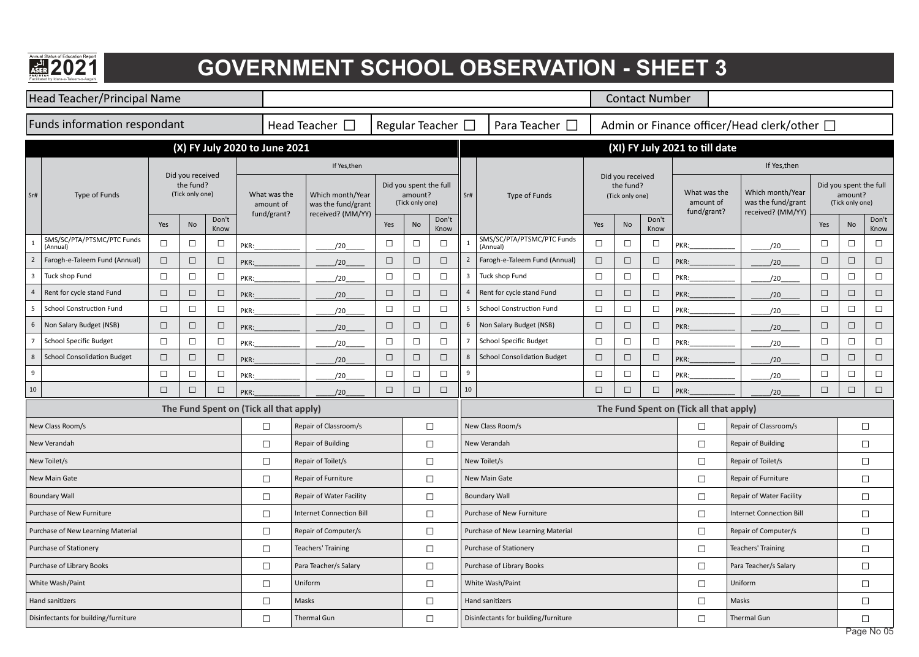| Annual Status of Education Report      |
|----------------------------------------|
|                                        |
|                                        |
| <b>PAKISTAN</b>                        |
| Facilitated by Idara-e-Taleem-o-Aagahi |

#### **GOVERNMENT SCHOOL OBSERVATION - SHEET 3**

|                | Head Teacher/Principal Name            |        |                                                  |               |                                         |                                          |                                                             |        |                                                      |                        |                |                                        |        |                                                  | <b>Contact Number</b> |                                          |                                                             |        |                                                      |                          |
|----------------|----------------------------------------|--------|--------------------------------------------------|---------------|-----------------------------------------|------------------------------------------|-------------------------------------------------------------|--------|------------------------------------------------------|------------------------|----------------|----------------------------------------|--------|--------------------------------------------------|-----------------------|------------------------------------------|-------------------------------------------------------------|--------|------------------------------------------------------|--------------------------|
|                | <b>Funds information respondant</b>    |        |                                                  |               |                                         |                                          | Head Teacher $\Box$                                         |        |                                                      | Regular Teacher $\Box$ |                | Para Teacher $\Box$                    |        |                                                  |                       |                                          | Admin or Finance officer/Head clerk/other □                 |        |                                                      |                          |
|                |                                        |        |                                                  |               | (X) FY July 2020 to June 2021           |                                          |                                                             |        |                                                      |                        |                |                                        |        |                                                  |                       | (XI) FY July 2021 to till date           |                                                             |        |                                                      |                          |
|                |                                        |        |                                                  |               |                                         |                                          | If Yes,then                                                 |        |                                                      |                        |                |                                        |        |                                                  |                       |                                          | If Yes, then                                                |        |                                                      |                          |
| Sr#            | Type of Funds                          |        | Did you received<br>the fund?<br>(Tick only one) |               |                                         | What was the<br>amount of<br>fund/grant? | Which month/Year<br>was the fund/grant<br>received? (MM/YY) |        | Did you spent the full<br>amount?<br>(Tick only one) |                        | Sr#            | Type of Funds                          |        | Did you received<br>the fund?<br>(Tick only one) |                       | What was the<br>amount of<br>fund/grant? | Which month/Year<br>was the fund/grant<br>received? (MM/YY) |        | Did you spent the full<br>amount?<br>(Tick only one) |                          |
|                |                                        | Yes    | No                                               | Don't<br>Know |                                         |                                          |                                                             | Yes    | No                                                   | Don't<br>Know          |                |                                        | Yes    | No                                               | Don't<br>Know         |                                          |                                                             | Yes    | No                                                   | Don't<br>Know            |
|                | SMS/SC/PTA/PTSMC/PTC Funds<br>(Annual) | $\Box$ | $\Box$                                           | $\Box$        | PKR:                                    |                                          | /20                                                         | $\Box$ | $\Box$                                               | $\Box$                 |                | SMS/SC/PTA/PTSMC/PTC Funds<br>(Annual) | $\Box$ | $\Box$                                           | $\Box$                | PKR:                                     | /20                                                         | $\Box$ | $\Box$                                               | $\Box$                   |
|                | Farogh-e-Taleem Fund (Annual)          | $\Box$ | $\Box$                                           | $\Box$        | PKR:                                    |                                          | /20                                                         | $\Box$ | $\Box$                                               | $\Box$                 | $\overline{2}$ | Farogh-e-Taleem Fund (Annual)          | $\Box$ | $\Box$                                           | $\Box$                | PKR:                                     | /20                                                         | $\Box$ | $\Box$                                               | $\Box$                   |
| $\overline{3}$ | Tuck shop Fund                         | $\Box$ | $\Box$                                           | $\Box$        | PKR:                                    |                                          | 1/20                                                        | $\Box$ | $\Box$                                               | $\Box$                 | 3              | Tuck shop Fund                         | $\Box$ | $\Box$                                           | $\Box$                | PKR:                                     | 1/20                                                        | $\Box$ | $\Box$                                               | $\Box$                   |
| $\overline{4}$ | Rent for cycle stand Fund              | $\Box$ | $\Box$                                           | $\Box$        | PKR:                                    |                                          | /20                                                         | $\Box$ | $\Box$                                               | $\Box$                 |                | Rent for cycle stand Fund              | $\Box$ | $\Box$                                           | $\Box$                | PKR:                                     | /20                                                         | $\Box$ | $\Box$                                               | $\Box$                   |
| -5             | <b>School Construction Fund</b>        | $\Box$ | $\Box$                                           | $\Box$        | PKR:                                    |                                          | /20                                                         | $\Box$ | $\Box$                                               | $\Box$                 | 5              | <b>School Construction Fund</b>        | $\Box$ | $\Box$                                           | $\Box$                | PKR:                                     | /20                                                         | $\Box$ | $\Box$                                               | $\Box$                   |
| 6              | Non Salary Budget (NSB)                | $\Box$ | $\Box$                                           | $\Box$        | PKR:                                    |                                          | /20                                                         | $\Box$ | $\Box$                                               | $\Box$                 | 6              | Non Salary Budget (NSB)                | $\Box$ | $\Box$                                           | $\Box$                | PKR:                                     | 1/20                                                        | $\Box$ | $\Box$                                               | $\Box$                   |
|                | <b>School Specific Budget</b>          | $\Box$ | $\Box$                                           | $\Box$        | PKR:                                    |                                          | 1/20                                                        | $\Box$ | $\Box$                                               | $\Box$                 |                | <b>School Specific Budget</b>          | $\Box$ | $\Box$                                           | $\Box$                | PKR:                                     | 120                                                         | $\Box$ | $\Box$                                               | $\Box$                   |
| 8              | <b>School Consolidation Budget</b>     | $\Box$ | $\Box$                                           | $\Box$        | PKR:                                    |                                          | /20                                                         | $\Box$ | $\Box$                                               | $\Box$                 | 8              | <b>School Consolidation Budget</b>     | $\Box$ | $\Box$                                           | $\Box$                | PKR:                                     | 120                                                         | $\Box$ | $\Box$                                               | $\Box$                   |
| 9              |                                        | $\Box$ | $\Box$                                           | $\Box$        | PKR:                                    |                                          | /20                                                         | $\Box$ | $\Box$                                               | $\Box$                 | 9              |                                        | $\Box$ | $\Box$                                           | $\Box$                | PKR:                                     | 1/20                                                        | $\Box$ | $\Box$                                               | $\Box$                   |
| 10             |                                        | $\Box$ | $\Box$                                           | $\Box$        | PKR:                                    |                                          | /20                                                         | $\Box$ | $\Box$                                               | $\Box$                 | 10             |                                        | $\Box$ | $\Box$                                           | $\Box$                | PKR:                                     | 1/20                                                        | $\Box$ | $\Box$                                               | $\Box$                   |
|                |                                        |        |                                                  |               | The Fund Spent on (Tick all that apply) |                                          |                                                             |        |                                                      |                        |                |                                        |        |                                                  |                       | The Fund Spent on (Tick all that apply)  |                                                             |        |                                                      |                          |
|                | New Class Room/s                       |        |                                                  |               |                                         | $\Box$                                   | Repair of Classroom/s                                       |        |                                                      | $\Box$                 |                | New Class Room/s                       |        |                                                  |                       | $\Box$                                   | Repair of Classroom/s                                       |        |                                                      | $\Box$                   |
|                | New Verandah                           |        |                                                  |               |                                         | $\Box$                                   | <b>Repair of Building</b>                                   |        |                                                      | $\Box$                 |                | New Verandah                           |        |                                                  |                       | $\Box$                                   | <b>Repair of Building</b>                                   |        |                                                      | $\Box$                   |
|                | New Toilet/s                           |        |                                                  |               |                                         | $\Box$                                   | Repair of Toilet/s                                          |        |                                                      | $\Box$                 |                | New Toilet/s                           |        |                                                  |                       | $\Box$                                   | Repair of Toilet/s                                          |        |                                                      | $\Box$                   |
|                | New Main Gate                          |        |                                                  |               |                                         | $\Box$                                   | Repair of Furniture                                         |        |                                                      | $\Box$                 |                | New Main Gate                          |        |                                                  |                       | $\Box$                                   | Repair of Furniture                                         |        |                                                      | $\Box$                   |
|                | <b>Boundary Wall</b>                   |        |                                                  |               |                                         | $\Box$                                   | Repair of Water Facility                                    |        |                                                      | $\Box$                 |                | <b>Boundary Wall</b>                   |        |                                                  |                       | $\Box$                                   | Repair of Water Facility                                    |        |                                                      | $\Box$                   |
|                | Purchase of New Furniture              |        |                                                  |               |                                         | $\Box$                                   | <b>Internet Connection Bill</b>                             |        |                                                      | $\Box$                 |                | Purchase of New Furniture              |        |                                                  |                       | $\Box$                                   | <b>Internet Connection Bill</b>                             |        |                                                      | $\Box$                   |
|                | Purchase of New Learning Material      |        |                                                  |               |                                         | $\Box$                                   | Repair of Computer/s                                        |        |                                                      | $\Box$                 |                | Purchase of New Learning Material      |        |                                                  |                       | $\Box$                                   | Repair of Computer/s                                        |        |                                                      | $\Box$                   |
|                | Purchase of Stationery                 |        |                                                  |               |                                         | $\Box$                                   | <b>Teachers' Training</b>                                   |        |                                                      | $\Box$                 |                | Purchase of Stationery                 |        |                                                  |                       | $\Box$                                   | <b>Teachers' Training</b>                                   |        |                                                      | $\Box$                   |
|                | Purchase of Library Books              |        |                                                  |               |                                         | $\Box$                                   | Para Teacher/s Salary                                       |        |                                                      | $\Box$                 |                | Purchase of Library Books              |        |                                                  |                       | $\Box$                                   | Para Teacher/s Salary                                       |        |                                                      | $\Box$                   |
|                | White Wash/Paint                       |        |                                                  |               |                                         | $\Box$                                   | Uniform                                                     |        |                                                      | $\Box$                 |                | White Wash/Paint                       |        |                                                  |                       | $\Box$                                   | Uniform                                                     |        |                                                      | $\Box$                   |
|                | Hand sanitizers                        |        |                                                  |               |                                         | $\Box$                                   | Masks                                                       |        |                                                      | $\Box$                 |                | Hand sanitizers                        |        |                                                  |                       | $\Box$                                   | Masks                                                       |        |                                                      | $\Box$                   |
|                | Disinfectants for building/furniture   |        |                                                  |               |                                         | $\Box$                                   | Thermal Gun                                                 |        |                                                      | $\Box$                 |                | Disinfectants for building/furniture   |        |                                                  |                       | $\Box$                                   | Thermal Gun                                                 |        |                                                      | $\Box$<br>$\overline{M}$ |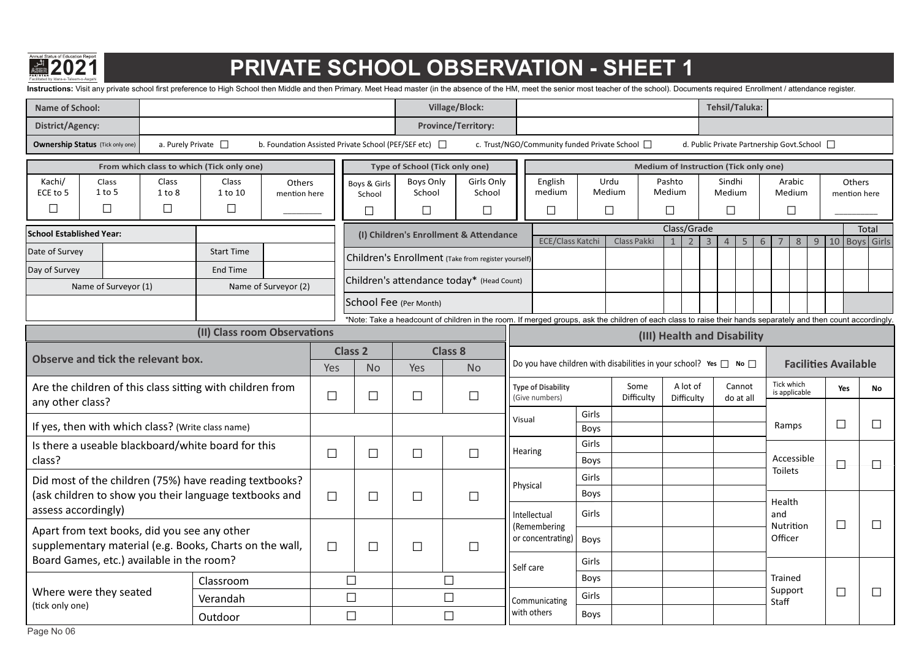

## **Facilitate base of EQSECUTE SCHOOL OBSERVATION - SHEET 1**

Instructions: Visit any private school first preference to High School then Middle and then Primary. Meet Head master (in the absence of the HM, meet the senior most teacher of the school). Documents required Enrollment /

| <b>Name of School:</b>                                                                                  |                           |                                           |                                                            |        |                                  |                                | <b>Village/Block:</b>                                                                                                                                         |           |                                                |               |                                                                             |                                       |                        |                                             | <b>Tehsil/Taluka:</b>      |        |                             |        |        |                             |  |
|---------------------------------------------------------------------------------------------------------|---------------------------|-------------------------------------------|------------------------------------------------------------|--------|----------------------------------|--------------------------------|---------------------------------------------------------------------------------------------------------------------------------------------------------------|-----------|------------------------------------------------|---------------|-----------------------------------------------------------------------------|---------------------------------------|------------------------|---------------------------------------------|----------------------------|--------|-----------------------------|--------|--------|-----------------------------|--|
| <b>District/Agency:</b>                                                                                 |                           |                                           |                                                            |        |                                  |                                | <b>Province/Territory:</b>                                                                                                                                    |           |                                                |               |                                                                             |                                       |                        |                                             |                            |        |                             |        |        |                             |  |
| <b>Ownership Status</b> (Tick only one)                                                                 | a. Purely Private $\Box$  |                                           | b. Foundation Assisted Private School (PEF/SEF etc) $\Box$ |        |                                  |                                |                                                                                                                                                               |           | c. Trust/NGO/Community funded Private School [ |               |                                                                             |                                       |                        | d. Public Private Partnership Govt.School □ |                            |        |                             |        |        |                             |  |
|                                                                                                         |                           | From which class to which (Tick only one) |                                                            |        |                                  | Type of School (Tick only one) |                                                                                                                                                               |           |                                                |               |                                                                             | Medium of Instruction (Tick only one) |                        |                                             |                            |        |                             |        |        |                             |  |
| Kachi/<br>Class<br>$1$ to 5<br>ECE to 5<br>$\Box$                                                       | Class<br>1 to 8<br>$\Box$ | Class<br>1 to 10<br>$\Box$                | Others<br>mention here                                     |        | Boys & Girls<br>School<br>$\Box$ | Boys Only<br>School<br>$\Box$  | Girls Only<br>School<br>$\Box$                                                                                                                                |           | English<br>medium<br>$\Box$                    |               | Urdu<br>Medium<br>$\Box$                                                    | Pashto<br>Medium<br>$\Box$            |                        |                                             | Sindhi<br>Medium<br>$\Box$ |        | Arabic<br>Medium<br>$\Box$  |        |        | Others<br>mention here      |  |
| <b>School Established Year:</b>                                                                         |                           |                                           |                                                            |        |                                  |                                | (I) Children's Enrollment & Attendance                                                                                                                        |           |                                                |               |                                                                             | Class/Grade                           |                        |                                             |                            |        |                             |        |        | Total                       |  |
| Date of Survey                                                                                          |                           | <b>Start Time</b>                         |                                                            |        |                                  |                                |                                                                                                                                                               |           | <b>ECE/Class Katch</b>                         |               | Class Pakki                                                                 | $\mathbf{1}$                          | $\overline{2}$         | $\overline{3}$                              | $\overline{4}$             | 5<br>6 |                             | 8<br>9 |        | 10 Boys Girls               |  |
| Day of Survey                                                                                           |                           | <b>End Time</b>                           |                                                            |        |                                  |                                | Children's Enrollment (Take from register yourself)                                                                                                           |           |                                                |               |                                                                             |                                       |                        |                                             |                            |        |                             |        |        |                             |  |
| Name of Surveyor (1)                                                                                    |                           |                                           | Name of Surveyor (2)                                       |        |                                  |                                | Children's attendance today* (Head Count)                                                                                                                     |           |                                                |               |                                                                             |                                       |                        |                                             |                            |        |                             |        |        |                             |  |
|                                                                                                         |                           |                                           |                                                            |        |                                  | School Fee (Per Month)         |                                                                                                                                                               |           |                                                |               |                                                                             |                                       |                        |                                             |                            |        |                             |        |        |                             |  |
|                                                                                                         |                           |                                           |                                                            |        |                                  |                                | *Note: Take a headcount of children in the room. If merged groups, ask the children of each class to raise their hands separately and then count accordingly. |           |                                                |               |                                                                             |                                       |                        |                                             |                            |        |                             |        |        |                             |  |
|                                                                                                         |                           | (II) Class room Observations              |                                                            |        |                                  |                                |                                                                                                                                                               |           |                                                |               |                                                                             | (III) Health and Disability           |                        |                                             |                            |        |                             |        |        |                             |  |
| Observe and tick the relevant box.                                                                      |                           |                                           |                                                            | Yes    | <b>Class 2</b><br><b>No</b>      | Yes                            | <b>Class 8</b><br><b>No</b>                                                                                                                                   |           |                                                |               | Do you have children with disabilities in your school? Yes $\Box$ No $\Box$ |                                       |                        |                                             |                            |        |                             |        |        | <b>Facilities Available</b> |  |
| Are the children of this class sitting with children from<br>any other class?                           |                           |                                           |                                                            | $\Box$ | $\Box$                           | $\Box$                         | $\Box$                                                                                                                                                        |           | <b>Type of Disability</b><br>(Give numbers)    |               | Some<br>Difficulty                                                          |                                       | A lot of<br>Difficulty |                                             | Cannot<br>do at all        |        | Tick which<br>is applicable |        | Yes    | No                          |  |
| If yes, then with which class? (Write class name)                                                       |                           |                                           |                                                            |        |                                  |                                |                                                                                                                                                               | Visual    |                                                | Girls<br>Boys |                                                                             |                                       |                        |                                             |                            |        | Ramps                       |        | $\Box$ | $\Box$                      |  |
| Is there a useable blackboard/white board for this                                                      |                           |                                           |                                                            |        |                                  |                                |                                                                                                                                                               |           |                                                | Girls         |                                                                             |                                       |                        |                                             |                            |        |                             |        |        |                             |  |
| class?                                                                                                  |                           |                                           |                                                            | $\Box$ | $\Box$                           | $\Box$                         | $\Box$                                                                                                                                                        | Hearing   |                                                | Boys          |                                                                             |                                       |                        |                                             |                            |        | Accessible                  |        | $\Box$ | $\vdash$                    |  |
| Did most of the children (75%) have reading textbooks?                                                  |                           |                                           |                                                            |        |                                  |                                |                                                                                                                                                               | Physical  |                                                | Girls         |                                                                             |                                       |                        |                                             |                            |        | <b>Toilets</b>              |        |        |                             |  |
| (ask children to show you their language textbooks and                                                  |                           |                                           |                                                            | $\Box$ | $\Box$                           | $\Box$                         |                                                                                                                                                               |           |                                                | Boys          |                                                                             |                                       |                        |                                             |                            |        | Health                      |        |        |                             |  |
| assess accordingly)                                                                                     |                           |                                           |                                                            |        |                                  |                                |                                                                                                                                                               |           | Intellectual<br>(Remembering                   | Girls         |                                                                             |                                       |                        |                                             |                            |        | and<br>Nutrition            |        | $\Box$ | $\Box$                      |  |
| Apart from text books, did you see any other<br>supplementary material (e.g. Books, Charts on the wall, |                           |                                           |                                                            | $\Box$ | $\Box$                           | $\Box$                         | $\Box$                                                                                                                                                        |           | or concentrating)                              | Boys          |                                                                             |                                       |                        |                                             |                            |        | Officer                     |        |        |                             |  |
| Board Games, etc.) available in the room?                                                               |                           |                                           |                                                            |        |                                  |                                |                                                                                                                                                               | Self care |                                                | Girls         |                                                                             |                                       |                        |                                             |                            |        |                             |        |        |                             |  |
|                                                                                                         |                           | Classroom                                 |                                                            |        | $\Box$                           |                                | $\Box$                                                                                                                                                        |           |                                                | Boys          |                                                                             |                                       |                        |                                             |                            |        | Trained                     |        |        |                             |  |
| Where were they seated<br>(tick only one)                                                               |                           | Verandah                                  |                                                            |        | $\Box$                           |                                | $\Box$                                                                                                                                                        |           | Communicating                                  | Girls         |                                                                             |                                       |                        |                                             |                            |        | Support<br>Staff            |        | $\Box$ | $\Box$                      |  |
|                                                                                                         |                           | Outdoor                                   |                                                            |        | $\Box$                           |                                | $\Box$                                                                                                                                                        |           | with others                                    | Boys          |                                                                             |                                       |                        |                                             |                            |        |                             |        |        |                             |  |
| Page No 06                                                                                              |                           |                                           |                                                            |        |                                  |                                |                                                                                                                                                               |           |                                                |               |                                                                             |                                       |                        |                                             |                            |        |                             |        |        |                             |  |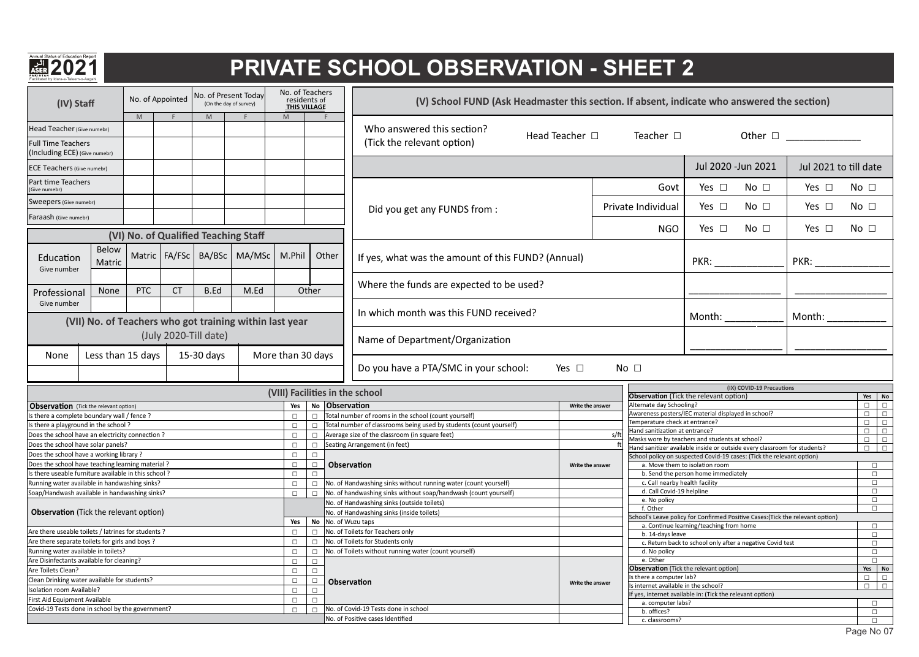

#### **PRIVATE SCHOOL OBSERVATION - SHEET 2**

| (IV) Staff                                                 |                   |            | No. of Appointed |                       | No. of Present Today<br>(On the day of survey)          | No. of Teachers<br>residents of<br><b>THIS VILLAGE</b> |        |                | (V) School FUND (Ask Headmaster this section. If absent, indicate who answered the section) |                     |              |                                                                                 |                                                           |                           |                                 |                 |                                                                                                                                                                                                                                                                                                                                                                                                                                              |
|------------------------------------------------------------|-------------------|------------|------------------|-----------------------|---------------------------------------------------------|--------------------------------------------------------|--------|----------------|---------------------------------------------------------------------------------------------|---------------------|--------------|---------------------------------------------------------------------------------|-----------------------------------------------------------|---------------------------|---------------------------------|-----------------|----------------------------------------------------------------------------------------------------------------------------------------------------------------------------------------------------------------------------------------------------------------------------------------------------------------------------------------------------------------------------------------------------------------------------------------------|
| Head Teacher (Give numebr)                                 |                   | M          |                  | M                     |                                                         | M                                                      |        |                | Who answered this section?                                                                  | Head Teacher $\Box$ |              | Teacher $\square$                                                               |                                                           |                           | Other $\Box$                    |                 |                                                                                                                                                                                                                                                                                                                                                                                                                                              |
| <b>Full Time Teachers</b><br>(Including ECE) (Give numebr) |                   |            |                  |                       |                                                         |                                                        |        |                | (Tick the relevant option)                                                                  |                     |              |                                                                                 |                                                           |                           |                                 |                 |                                                                                                                                                                                                                                                                                                                                                                                                                                              |
| <b>ECE Teachers (Give numebr)</b>                          |                   |            |                  |                       |                                                         |                                                        |        |                |                                                                                             |                     |              |                                                                                 |                                                           | Jul 2020 - Jun 2021       | Jul 2021 to till date           |                 |                                                                                                                                                                                                                                                                                                                                                                                                                                              |
| Part time Teachers<br>Give numebr)                         |                   |            |                  |                       |                                                         |                                                        |        |                |                                                                                             |                     |              | Govt                                                                            | Yes $\Box$                                                | No <sub>1</sub>           | Yes $\Box$                      | No <sub>1</sub> |                                                                                                                                                                                                                                                                                                                                                                                                                                              |
| Sweepers (Give numebr)                                     |                   |            |                  |                       |                                                         |                                                        |        |                | Did you get any FUNDS from :                                                                |                     |              | Private Individual                                                              | Yes $\square$                                             | No <sub>1</sub>           | Yes $\Box$                      | No <sub>1</sub> |                                                                                                                                                                                                                                                                                                                                                                                                                                              |
| Faraash (Give numebr)                                      |                   |            |                  |                       |                                                         |                                                        |        |                |                                                                                             |                     |              |                                                                                 |                                                           |                           |                                 |                 |                                                                                                                                                                                                                                                                                                                                                                                                                                              |
|                                                            |                   |            |                  |                       | (VI) No. of Qualified Teaching Staff                    |                                                        |        |                |                                                                                             |                     |              | <b>NGO</b>                                                                      | Yes $\Box$                                                | No <sub>1</sub>           | Yes $\Box$                      | No <sub>1</sub> |                                                                                                                                                                                                                                                                                                                                                                                                                                              |
| Education<br>Give number                                   | Below<br>Matric   |            |                  |                       | Matric   FA/FSc   BA/BSc   MA/MSc                       | M.Phil                                                 |        | Other          | If yes, what was the amount of this FUND? (Annual)                                          |                     |              |                                                                                 | PKR: __________                                           |                           | PKR:                            |                 |                                                                                                                                                                                                                                                                                                                                                                                                                                              |
| Professional                                               | None              | <b>PTC</b> | <b>CT</b>        | B.Ed                  | M.Ed                                                    |                                                        | Other  |                | Where the funds are expected to be used?                                                    |                     |              |                                                                                 |                                                           |                           |                                 |                 |                                                                                                                                                                                                                                                                                                                                                                                                                                              |
| Give number                                                |                   |            |                  |                       | (VII) No. of Teachers who got training within last year |                                                        |        |                | In which month was this FUND received?                                                      |                     |              |                                                                                 | Month: $\sqrt{a^2+a^2}$                                   |                           | Month: $\overline{\phantom{a}}$ |                 |                                                                                                                                                                                                                                                                                                                                                                                                                                              |
|                                                            |                   |            |                  | (July 2020-Till date) |                                                         |                                                        |        |                | Name of Department/Organization                                                             |                     |              |                                                                                 |                                                           |                           |                                 |                 |                                                                                                                                                                                                                                                                                                                                                                                                                                              |
| None                                                       | Less than 15 days |            |                  | 15-30 days            |                                                         | More than 30 days                                      |        |                | Do you have a PTA/SMC in your school:                                                       | Yes $\square$       | No $\square$ |                                                                                 |                                                           |                           |                                 |                 |                                                                                                                                                                                                                                                                                                                                                                                                                                              |
|                                                            |                   |            |                  |                       |                                                         |                                                        |        |                | (VIII) Facilities in the school                                                             |                     |              |                                                                                 |                                                           | (IX) COVID-19 Precautions |                                 |                 |                                                                                                                                                                                                                                                                                                                                                                                                                                              |
|                                                            |                   |            |                  |                       |                                                         |                                                        |        |                |                                                                                             |                     |              | <b>Observation</b> (Tick the relevant option)                                   |                                                           |                           |                                 |                 | Yes No                                                                                                                                                                                                                                                                                                                                                                                                                                       |
| <b>Observation</b> (Tick the relevant option)              |                   |            |                  |                       |                                                         | Yes                                                    |        | No Observation |                                                                                             | Write the answer    |              | Alternate day Schooling?<br>Awareness posters/IEC material displayed in school? |                                                           |                           |                                 | $\Box$          | $\begin{array}{c c c c c} \hline \rule{0pt}{12pt} & \rule{0pt}{12pt} \quad & \rule{0pt}{12pt} \quad & \rule{0pt}{12pt} \quad & \rule{0pt}{12pt} \quad & \rule{0pt}{12pt} \quad & \rule{0pt}{12pt} \quad & \rule{0pt}{12pt} \quad & \rule{0pt}{12pt} \quad & \rule{0pt}{12pt} \quad & \rule{0pt}{12pt} \quad & \rule{0pt}{12pt} \quad & \rule{0pt}{12pt} \quad & \rule{0pt}{12pt} \quad & \rule{0pt}{12pt} \quad & \rule{0pt}{12pt$<br>$\Box$ |
| Is there a complete boundary wall / fence ?                |                   |            |                  |                       |                                                         | $\Box$                                                 |        |                | $\Box$ Total number of rooms in the school (count yourself)                                 |                     |              | Temperature check at entrance?                                                  |                                                           |                           |                                 | $\Box$          | $\Box$                                                                                                                                                                                                                                                                                                                                                                                                                                       |
| Is there a playground in the school?                       |                   |            |                  |                       |                                                         | $\Box$                                                 |        |                | □ Total number of classrooms being used by students (count yourself)                        |                     |              | Hand sanitization at entrance?                                                  |                                                           |                           |                                 | $\Box$          | $\Box$                                                                                                                                                                                                                                                                                                                                                                                                                                       |
| Does the school have an electricity connection?            |                   |            |                  |                       |                                                         | $\Box$                                                 |        |                | $\Box$ Average size of the classroom (in square feet)                                       |                     |              | Masks wore by teachers and students at school?                                  |                                                           |                           |                                 | $\Box$          | $\Box$                                                                                                                                                                                                                                                                                                                                                                                                                                       |
| Does the school have solar panels?                         |                   |            |                  |                       |                                                         | $\Box$                                                 |        |                | $\Box$ Seating Arrangement (in feet)                                                        |                     |              | Hand sanitizer available inside or outside every classroom for students?        |                                                           |                           |                                 |                 | $\Box$                                                                                                                                                                                                                                                                                                                                                                                                                                       |
| Does the school have a working library?                    |                   |            |                  |                       |                                                         | $\Box$                                                 | $\Box$ |                |                                                                                             |                     |              | School policy on suspected Covid-19 cases: (Tick the relevant option)           |                                                           |                           |                                 |                 |                                                                                                                                                                                                                                                                                                                                                                                                                                              |
| Does the school have teaching learning material?           |                   |            |                  |                       |                                                         | $\Box$                                                 | $\Box$ |                | Observation                                                                                 | Write the answer    |              |                                                                                 | a. Move them to isolation room                            |                           |                                 |                 | $\Box$                                                                                                                                                                                                                                                                                                                                                                                                                                       |
| Is there useable furniture available in this school?       |                   |            |                  |                       |                                                         | $\Box$                                                 | $\Box$ |                |                                                                                             |                     |              |                                                                                 | b. Send the person home immediately                       |                           |                                 |                 | $\Box$                                                                                                                                                                                                                                                                                                                                                                                                                                       |
| Running water available in handwashing sinks?              |                   |            |                  |                       |                                                         | $\Box$                                                 |        |                | $\Box$ No. of Handwashing sinks without running water (count yourself)                      |                     |              | c. Call nearby health facility<br>d. Call Covid-19 helpline                     |                                                           |                           |                                 |                 | $\Box$                                                                                                                                                                                                                                                                                                                                                                                                                                       |
| Soap/Handwash available in handwashing sinks?              |                   |            |                  |                       |                                                         | $\Box$                                                 |        |                | $\Box$ No. of handwashing sinks without soap/handwash (count yourself)                      |                     |              | e. No policy                                                                    |                                                           |                           |                                 |                 | $\Box$<br>$\Box$                                                                                                                                                                                                                                                                                                                                                                                                                             |
|                                                            |                   |            |                  |                       |                                                         |                                                        |        |                | No. of Handwashing sinks (outside toilets)                                                  |                     |              | f. Other                                                                        |                                                           |                           |                                 |                 | $\Box$                                                                                                                                                                                                                                                                                                                                                                                                                                       |
| <b>Observation</b> (Tick the relevant option)              |                   |            |                  |                       |                                                         |                                                        |        |                | No. of Handwashing sinks (inside toilets)                                                   |                     |              | School's Leave policy for Confirmed Positive Cases: (Tick the relevant option)  |                                                           |                           |                                 |                 |                                                                                                                                                                                                                                                                                                                                                                                                                                              |
|                                                            |                   |            |                  |                       |                                                         | Yes                                                    |        |                | No No. of Wuzu taps                                                                         |                     |              |                                                                                 | a. Continue learning/teaching from home                   |                           |                                 |                 | $\Box$                                                                                                                                                                                                                                                                                                                                                                                                                                       |
| Are there useable toilets / latrines for students ?        |                   |            |                  |                       |                                                         | $\Box$                                                 |        |                | □ No. of Toilets for Teachers only                                                          |                     |              | b. 14-days leave                                                                |                                                           |                           |                                 |                 | $\Box$                                                                                                                                                                                                                                                                                                                                                                                                                                       |
| Are there separate toilets for girls and boys ?            |                   |            |                  |                       |                                                         | $\Box$                                                 |        |                | □ No. of Toilets for Students only                                                          |                     |              |                                                                                 | c. Return back to school only after a negative Covid test |                           |                                 |                 | $\Box$                                                                                                                                                                                                                                                                                                                                                                                                                                       |
| Running water available in toilets?                        |                   |            |                  |                       |                                                         | $\Box$                                                 | $\Box$ |                | No. of Toilets without running water (count yourself)                                       |                     |              | d. No policy                                                                    |                                                           |                           |                                 |                 | $\Box$                                                                                                                                                                                                                                                                                                                                                                                                                                       |
| Are Disinfectants available for cleaning?                  |                   |            |                  |                       |                                                         | $\Box$                                                 | $\Box$ |                |                                                                                             |                     |              | e. Other                                                                        |                                                           |                           |                                 |                 | $\Box$                                                                                                                                                                                                                                                                                                                                                                                                                                       |
| Are Toilets Clean?                                         |                   |            |                  |                       |                                                         | $\Box$                                                 | $\Box$ |                |                                                                                             |                     |              | Observation (Tick the relevant option)                                          |                                                           |                           |                                 |                 | Yes No                                                                                                                                                                                                                                                                                                                                                                                                                                       |
| Clean Drinking water available for students?               |                   |            |                  |                       |                                                         | $\Box$                                                 | $\Box$ |                | Observation                                                                                 | Write the answer    |              | Is there a computer lab?<br>Is internet available in the school?                |                                                           |                           |                                 | $\Box$          | $\Box$                                                                                                                                                                                                                                                                                                                                                                                                                                       |
| Isolation room Available?                                  |                   |            |                  |                       |                                                         | $\Box$                                                 | $\Box$ |                |                                                                                             |                     |              | If yes, internet available in: (Tick the relevant option)                       |                                                           |                           |                                 | $\Box$          | $\Box$                                                                                                                                                                                                                                                                                                                                                                                                                                       |
| First Aid Equipment Available                              |                   |            |                  |                       |                                                         | $\Box$                                                 | $\Box$ |                |                                                                                             |                     |              | a. computer labs?                                                               |                                                           |                           |                                 |                 | $\Box$                                                                                                                                                                                                                                                                                                                                                                                                                                       |
| Covid-19 Tests done in school by the government?           |                   |            |                  |                       |                                                         | $\Box$                                                 | $\Box$ |                | No. of Covid-19 Tests done in school                                                        |                     |              | b. offices?                                                                     |                                                           |                           |                                 |                 | $\Box$                                                                                                                                                                                                                                                                                                                                                                                                                                       |
|                                                            |                   |            |                  |                       |                                                         |                                                        |        |                | No. of Positive cases Identified                                                            |                     |              | c. classrooms?                                                                  |                                                           |                           |                                 |                 | $\Box$                                                                                                                                                                                                                                                                                                                                                                                                                                       |
|                                                            |                   |            |                  |                       |                                                         |                                                        |        |                |                                                                                             |                     |              |                                                                                 |                                                           |                           |                                 |                 |                                                                                                                                                                                                                                                                                                                                                                                                                                              |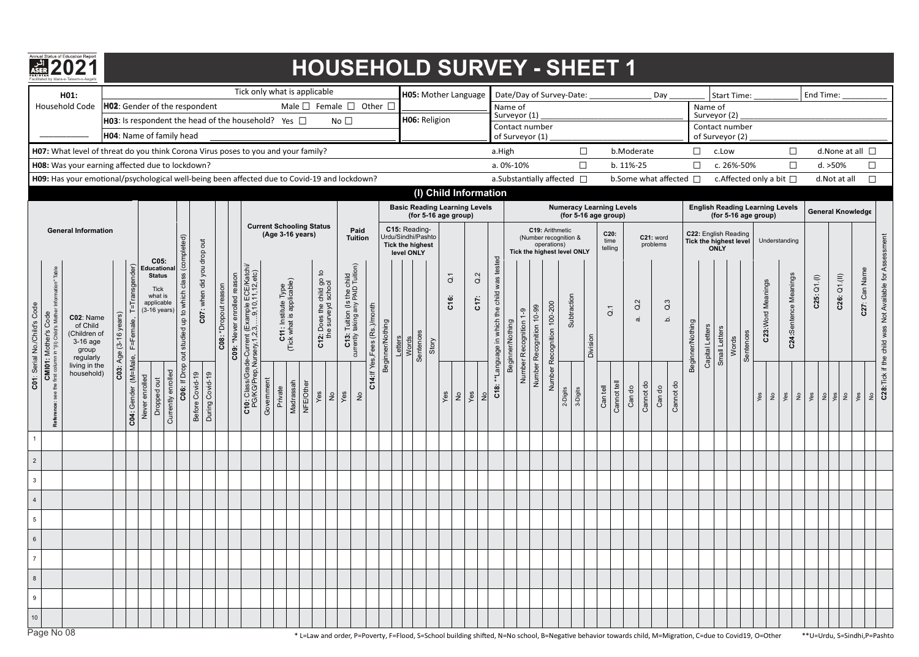

# Facilitated b**2**y Idara-**0**e-Talee**2**m-o-Aa**1**gahi **HOUSEHOLD SURVEY - SHEET 1**

|                                  | H01:                                                                            |                                                                                                                                                 |                               |                                |                |                                                                                       |                                                        |                            |                 |                                                        | Tick only what is applicable<br>Male $\Box$ Female $\Box$ Other $\Box$                    |            |                                                         |                        |                                                              |                                                                  |                               |                  |                                                                              |                    |       | H05: Mother Language                                         |               |                  |                                          |                  |                     |                                |                                                      | Date/Day of Survey-Date:                                |                         |                         |             |                                     | Day    |                   |                                                |                         |                  |       | <b>Start Time:</b> |                                                                |                                                      |                       | End Time:                                                             |                   |                          |                                                         |
|----------------------------------|---------------------------------------------------------------------------------|-------------------------------------------------------------------------------------------------------------------------------------------------|-------------------------------|--------------------------------|----------------|---------------------------------------------------------------------------------------|--------------------------------------------------------|----------------------------|-----------------|--------------------------------------------------------|-------------------------------------------------------------------------------------------|------------|---------------------------------------------------------|------------------------|--------------------------------------------------------------|------------------------------------------------------------------|-------------------------------|------------------|------------------------------------------------------------------------------|--------------------|-------|--------------------------------------------------------------|---------------|------------------|------------------------------------------|------------------|---------------------|--------------------------------|------------------------------------------------------|---------------------------------------------------------|-------------------------|-------------------------|-------------|-------------------------------------|--------|-------------------|------------------------------------------------|-------------------------|------------------|-------|--------------------|----------------------------------------------------------------|------------------------------------------------------|-----------------------|-----------------------------------------------------------------------|-------------------|--------------------------|---------------------------------------------------------|
|                                  |                                                                                 | Household Code                                                                                                                                  |                               |                                |                | HO2: Gender of the respondent                                                         |                                                        |                            |                 |                                                        |                                                                                           |            |                                                         |                        |                                                              |                                                                  |                               |                  |                                                                              |                    |       |                                                              |               |                  |                                          | Name of          | Surveyor (1)        |                                |                                                      |                                                         |                         |                         |             |                                     |        |                   |                                                | Name of<br>Surveyor (2) |                  |       |                    |                                                                |                                                      |                       |                                                                       |                   |                          |                                                         |
|                                  |                                                                                 |                                                                                                                                                 |                               |                                |                |                                                                                       |                                                        |                            |                 |                                                        | <b>H03</b> : Is respondent the head of the household? Yes $\Box$                          |            |                                                         |                        |                                                              | No $\square$                                                     |                               |                  |                                                                              |                    |       | H06: Religion                                                |               |                  |                                          |                  | Contact number      |                                |                                                      |                                                         |                         |                         |             |                                     |        |                   |                                                | Contact number          |                  |       |                    |                                                                |                                                      |                       |                                                                       |                   |                          |                                                         |
|                                  |                                                                                 |                                                                                                                                                 |                               |                                |                | H04: Name of family head                                                              |                                                        |                            |                 |                                                        |                                                                                           |            |                                                         |                        |                                                              |                                                                  |                               |                  |                                                                              |                    |       |                                                              |               |                  |                                          |                  | of Surveyor (1)     |                                |                                                      |                                                         |                         |                         |             |                                     |        |                   |                                                | of Surveyor (2)         |                  |       |                    |                                                                |                                                      |                       |                                                                       |                   |                          |                                                         |
|                                  |                                                                                 | H07: What level of threat do you think Corona Virus poses to you and your family?                                                               |                               |                                |                |                                                                                       |                                                        |                            |                 |                                                        |                                                                                           |            |                                                         |                        |                                                              |                                                                  |                               |                  |                                                                              |                    |       |                                                              |               |                  |                                          | a.High           |                     |                                |                                                      |                                                         | $\Box$                  |                         |             | b.Moderate                          |        |                   | $\Box$                                         |                         | c.Low            |       | c. 26%-50%         |                                                                |                                                      | $\Box$                |                                                                       | d. >50%           | d. None at all $\square$ |                                                         |
|                                  |                                                                                 | H08: Was your earning affected due to lockdown?<br>H09: Has your emotional/psychological well-being been affected due to Covid-19 and lockdown? |                               |                                |                |                                                                                       |                                                        |                            |                 |                                                        |                                                                                           |            |                                                         |                        |                                                              |                                                                  |                               |                  |                                                                              |                    |       |                                                              |               |                  |                                          |                  | a. 0%-10%           |                                |                                                      | a.Substantially affected $\Box$                         | $\Box$                  |                         |             | b. 11%-25<br>b.Some what affected □ |        |                   | $\Box$                                         |                         |                  |       |                    | c. Affected only a bit $\Box$                                  |                                                      | $\Box$                |                                                                       | d.Not at all      |                          | $\Box$<br>$\Box$                                        |
|                                  |                                                                                 |                                                                                                                                                 |                               |                                |                |                                                                                       |                                                        |                            |                 |                                                        |                                                                                           |            |                                                         |                        |                                                              |                                                                  |                               |                  |                                                                              |                    |       | (I) Child Information                                        |               |                  |                                          |                  |                     |                                |                                                      |                                                         |                         |                         |             |                                     |        |                   |                                                |                         |                  |       |                    |                                                                |                                                      |                       |                                                                       |                   |                          |                                                         |
|                                  |                                                                                 |                                                                                                                                                 |                               |                                |                |                                                                                       |                                                        |                            |                 |                                                        |                                                                                           |            |                                                         |                        |                                                              |                                                                  |                               |                  |                                                                              |                    |       | <b>Basic Reading Learning Levels</b><br>(for 5-16 age group) |               |                  |                                          |                  |                     |                                |                                                      | <b>Numeracy Learning Levels</b><br>(for 5-16 age group) |                         |                         |             |                                     |        |                   |                                                |                         |                  |       |                    | <b>English Reading Learning Levels</b><br>(for 5-16 age group) |                                                      |                       |                                                                       |                   | <b>General Knowledge</b> |                                                         |
|                                  |                                                                                 | <b>General Information</b>                                                                                                                      |                               |                                |                |                                                                                       |                                                        |                            |                 |                                                        |                                                                                           |            |                                                         | (Age 3-16 years)       | <b>Current Schooling Status</b>                              | Paid<br><b>Tuition</b>                                           |                               |                  | C15: Reading-<br>Urdu/Sindhi/Pashto<br><b>Tick the highest</b><br>level ONLY |                    |       |                                                              |               |                  |                                          |                  |                     | C19: Arithmetic<br>operations) | (Number recognition &<br>Tick the highest level ONLY |                                                         | C20:<br>time<br>telling |                         |             | C21: word<br>problems               |        |                   | C22: English Reading<br>Tick the highest level | <b>ONLY</b>             |                  |       | Understanding      |                                                                |                                                      |                       |                                                                       |                   |                          |                                                         |
| C01: Serial No./Child's Code     | Table<br><b>CMI01: Mother's Code</b><br>the first column in "(II) Child's Mothe | C02: Name<br>of Child<br>(Children of<br>$3-16$ age<br>group<br>regularly                                                                       | $(3-16 \text{ years})$<br>Age | =Transgender)                  |                | C05:<br>Educationa<br><b>Status</b><br>Tick<br>what is<br>applicable<br>$(3-16$ years | C06: If Drop out studied up to which class (completed) | C07: when did you drop out |                 | reason<br>C08: *Dropout reason<br>C09: *Never enrolled | C10: Class/Grade-Current (Example ECE/Katchi/<br>PG/KG/Prep,Nursery,1,2,3,9,10,11,12,etc) |            | <b>C11:</b> Institute Type<br>(Tick what is applicable) |                        | $\mathbf{a}$<br>C12: Does the child go<br>the surveyd school | C13: Tuition (Is the child<br>currently taking any PAID Tuition) | C14: If Yes, Fees (Rs.)/month | Beginner/Nothing | Letters                                                                      | Sentences<br>Words | Story | $\overline{\texttt{o}}$<br>C16:                              |               | $\alpha$<br>C17: | **Language in which the child was tested | Beginner/Nothing | $-9$<br>Recognition | Number Recognition 10-99       | Recognition 100-200                                  | Subtraction                                             | Division                | $\overline{\texttt{o}}$ |             | Q.2<br>$\vec{a}$                    |        | $\tilde{Q}$<br>نم | Beginner/Nothing                               | Capital Letters         | Letters<br>Small | Words | Sentences          | C23:Word Meanings                                              |                                                      | C24:Sentence Meanings | C25: Q1.(1)                                                           | $C26:$ $Q1.(III)$ | C27: Can Name            | C28: Tick if the child was Not Available for Assessment |
|                                  |                                                                                 | living in the<br>household)                                                                                                                     | C03                           | C04: Gender (M=Male, F=Female, | Never enrolled | Currently enrolled<br>Dropped out                                                     |                                                        | Before Covid-19            | During Covid-19 |                                                        |                                                                                           | Government | Private                                                 | Madrassah<br>NFE/Other | Yes<br>$\frac{\circ}{2}$                                     | ves<br>$\geq$                                                    |                               |                  |                                                                              |                    |       | Yes                                                          | $\frac{1}{2}$ | Yes              | C18<br>$\frac{1}{2}$                     |                  | Number              |                                | Number                                               | 3-Digits<br>2-Digits                                    |                         | Can tell                | Cannot tell | Cannot do<br>Can do                 | Can do | Cannot do         |                                                |                         |                  |       |                    | Yes                                                            | $\left  \begin{array}{c} 2 \\ 8 \end{array} \right $ |                       | $\frac{2}{5}$ $\frac{8}{5}$ $\frac{2}{5}$ $\frac{8}{5}$ $\frac{2}{5}$ |                   | yes                      | $\frac{1}{2}$                                           |
| $\overline{1}$<br>$\overline{2}$ |                                                                                 |                                                                                                                                                 |                               |                                |                |                                                                                       |                                                        |                            |                 |                                                        |                                                                                           |            |                                                         |                        |                                                              |                                                                  |                               |                  |                                                                              |                    |       |                                                              |               |                  |                                          |                  |                     |                                |                                                      |                                                         |                         |                         |             |                                     |        |                   |                                                |                         |                  |       |                    |                                                                |                                                      |                       |                                                                       |                   |                          |                                                         |
| $\mathbf{3}$                     |                                                                                 |                                                                                                                                                 |                               |                                |                |                                                                                       |                                                        |                            |                 |                                                        |                                                                                           |            |                                                         |                        |                                                              |                                                                  |                               |                  |                                                                              |                    |       |                                                              |               |                  |                                          |                  |                     |                                |                                                      |                                                         |                         |                         |             |                                     |        |                   |                                                |                         |                  |       |                    |                                                                |                                                      |                       |                                                                       |                   |                          |                                                         |
| $\overline{4}$                   |                                                                                 |                                                                                                                                                 |                               |                                |                |                                                                                       |                                                        |                            |                 |                                                        |                                                                                           |            |                                                         |                        |                                                              |                                                                  |                               |                  |                                                                              |                    |       |                                                              |               |                  |                                          |                  |                     |                                |                                                      |                                                         |                         |                         |             |                                     |        |                   |                                                |                         |                  |       |                    |                                                                |                                                      |                       |                                                                       |                   |                          |                                                         |
| $5\phantom{.0}$                  |                                                                                 |                                                                                                                                                 |                               |                                |                |                                                                                       |                                                        |                            |                 |                                                        |                                                                                           |            |                                                         |                        |                                                              |                                                                  |                               |                  |                                                                              |                    |       |                                                              |               |                  |                                          |                  |                     |                                |                                                      |                                                         |                         |                         |             |                                     |        |                   |                                                |                         |                  |       |                    |                                                                |                                                      |                       |                                                                       |                   |                          |                                                         |
| 6                                |                                                                                 |                                                                                                                                                 |                               |                                |                |                                                                                       |                                                        |                            |                 |                                                        |                                                                                           |            |                                                         |                        |                                                              |                                                                  |                               |                  |                                                                              |                    |       |                                                              |               |                  |                                          |                  |                     |                                |                                                      |                                                         |                         |                         |             |                                     |        |                   |                                                |                         |                  |       |                    |                                                                |                                                      |                       |                                                                       |                   |                          |                                                         |
| $\overline{7}$                   |                                                                                 |                                                                                                                                                 |                               |                                |                |                                                                                       |                                                        |                            |                 |                                                        |                                                                                           |            |                                                         |                        |                                                              |                                                                  |                               |                  |                                                                              |                    |       |                                                              |               |                  |                                          |                  |                     |                                |                                                      |                                                         |                         |                         |             |                                     |        |                   |                                                |                         |                  |       |                    |                                                                |                                                      |                       |                                                                       |                   |                          |                                                         |
| 8                                |                                                                                 |                                                                                                                                                 |                               |                                |                |                                                                                       |                                                        |                            |                 |                                                        |                                                                                           |            |                                                         |                        |                                                              |                                                                  |                               |                  |                                                                              |                    |       |                                                              |               |                  |                                          |                  |                     |                                |                                                      |                                                         |                         |                         |             |                                     |        |                   |                                                |                         |                  |       |                    |                                                                |                                                      |                       |                                                                       |                   |                          |                                                         |
| 9                                |                                                                                 |                                                                                                                                                 |                               |                                |                |                                                                                       |                                                        |                            |                 |                                                        |                                                                                           |            |                                                         |                        |                                                              |                                                                  |                               |                  |                                                                              |                    |       |                                                              |               |                  |                                          |                  |                     |                                |                                                      |                                                         |                         |                         |             |                                     |        |                   |                                                |                         |                  |       |                    |                                                                |                                                      |                       |                                                                       |                   |                          |                                                         |
| 10                               |                                                                                 |                                                                                                                                                 |                               |                                |                |                                                                                       |                                                        |                            |                 |                                                        |                                                                                           |            |                                                         |                        |                                                              |                                                                  |                               |                  |                                                                              |                    |       |                                                              |               |                  |                                          |                  |                     |                                |                                                      |                                                         |                         |                         |             |                                     |        |                   |                                                |                         |                  |       |                    |                                                                |                                                      |                       |                                                                       |                   |                          |                                                         |